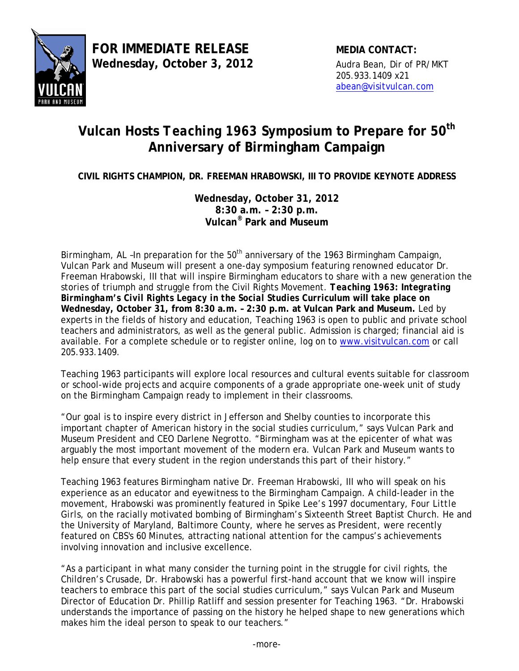

## **Vulcan Hosts** *Teaching 1963* **Symposium to Prepare for 50th Anniversary of Birmingham Campaign**

**CIVIL RIGHTS CHAMPION, DR. FREEMAN HRABOWSKI, III TO PROVIDE KEYNOTE ADDRESS** 

**Wednesday, October 31, 2012 8:30 a.m. – 2:30 p.m. Vulcan® Park and Museum**

Birmingham, AL -In preparation for the  $50<sup>th</sup>$  anniversary of the 1963 Birmingham Campaign, Vulcan Park and Museum will present a one-day symposium featuring renowned educator Dr. Freeman Hrabowski, III that will inspire Birmingham educators to share with a new generation the stories of triumph and struggle from the Civil Rights Movement. *Teaching 1963: Integrating Birmingham's Civil Rights Legacy in the Social Studies Curriculum* **will take place on Wednesday, October 31, from 8:30 a.m. – 2:30 p.m. at Vulcan Park and Museum.** Led by experts in the fields of history and education, *Teaching 1963* is open to public and private school teachers and administrators, as well as the general public. Admission is charged; financial aid is available. For a complete schedule or to register online, log on to [www.visitvulcan.com](http://www.visitvulcan.com/) or call 205.933.1409.

*Teaching 1963* participants will explore local resources and cultural events suitable for classroom or school-wide projects and acquire components of a grade appropriate one-week unit of study on the Birmingham Campaign ready to implement in their classrooms.

"Our goal is to inspire every district in Jefferson and Shelby counties to incorporate this important chapter of American history in the social studies curriculum," says Vulcan Park and Museum President and CEO Darlene Negrotto. "Birmingham was at the epicenter of what was arguably the most important movement of the modern era. Vulcan Park and Museum wants to help ensure that every student in the region understands this part of their history."

*Teaching 1963* features Birmingham native [Dr. Freeman Hrabowski, III](http://www.visitvulcan.com/eventInfo/documents/Teaching1963HrabowskiBio.pdf) who will speak on his experience as an educator and eyewitness to the Birmingham Campaign. A child-leader in the movement, Hrabowski was prominently featured in Spike Lee's 1997 documentary, *[Four Little](http://video.google.com/videoplay?docid=-3302971953362876297)  [Girls](http://video.google.com/videoplay?docid=-3302971953362876297)*, on the racially motivated bombing of Birmingham's Sixteenth Street Baptist Church. He and the University of Maryland, Baltimore County, where he serves as President, were recently featured on CBS's *[60 Minutes](http://www.cbsnews.com/video/watch/?id=7388127n)*, attracting national attention for the campus's achievements involving innovation and inclusive excellence.

"As a participant in what many consider the turning point in the struggle for civil rights, the Children's Crusade, Dr. Hrabowski has a powerful first-hand account that we know will inspire teachers to embrace this part of the social studies curriculum," says Vulcan Park and Museum Director of Education Dr. Phillip Ratliff and session presenter for *Teaching 1963*. "Dr. Hrabowski understands the importance of passing on the history he helped shape to new generations which makes him the ideal person to speak to our teachers."